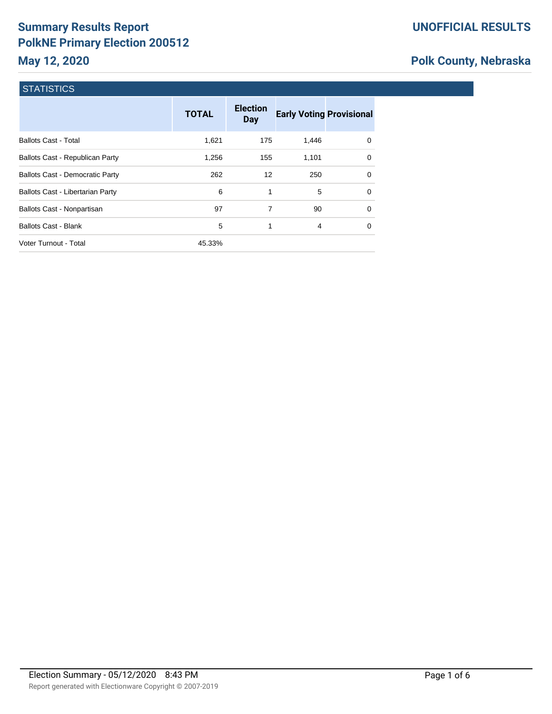# **Summary Results Report PolkNE Primary Election 200512**

# **Polk County, Nebraska**

## **STATISTICS**

|                                        | <b>TOTAL</b> | <b>Election</b><br><b>Day</b> | <b>Early Voting Provisional</b> |          |
|----------------------------------------|--------------|-------------------------------|---------------------------------|----------|
| <b>Ballots Cast - Total</b>            | 1,621        | 175                           | 1,446                           | 0        |
| <b>Ballots Cast - Republican Party</b> | 1,256        | 155                           | 1.101                           | $\Omega$ |
| <b>Ballots Cast - Democratic Party</b> | 262          | 12                            | 250                             | 0        |
| Ballots Cast - Libertarian Party       | 6            | 1                             | 5                               | $\Omega$ |
| Ballots Cast - Nonpartisan             | 97           | 7                             | 90                              | $\Omega$ |
| <b>Ballots Cast - Blank</b>            | 5            | 1                             | 4                               | 0        |
| Voter Turnout - Total                  | 45.33%       |                               |                                 |          |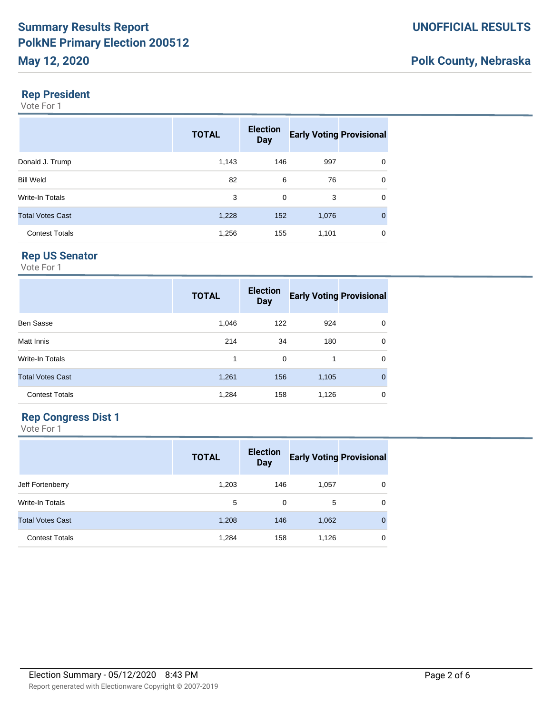#### **Rep President**

Vote For 1

|                         | <b>TOTAL</b> | <b>Election</b><br><b>Day</b> | <b>Early Voting Provisional</b> |             |
|-------------------------|--------------|-------------------------------|---------------------------------|-------------|
| Donald J. Trump         | 1,143        | 146                           | 997                             | 0           |
| <b>Bill Weld</b>        | 82           | 6                             | 76                              | 0           |
| Write-In Totals         | 3            | 0                             | 3                               | 0           |
| <b>Total Votes Cast</b> | 1,228        | 152                           | 1,076                           | $\mathbf 0$ |
| <b>Contest Totals</b>   | 1,256        | 155                           | 1,101                           | 0           |

## **Rep US Senator**

Vote For 1

|                         | <b>TOTAL</b> | <b>Election</b><br><b>Day</b> | <b>Early Voting Provisional</b> |              |
|-------------------------|--------------|-------------------------------|---------------------------------|--------------|
| <b>Ben Sasse</b>        | 1,046        | 122                           | 924                             | $\mathbf 0$  |
| Matt Innis              | 214          | 34                            | 180                             | $\mathbf 0$  |
| Write-In Totals         | 1            | 0                             | 1                               | $\mathbf 0$  |
| <b>Total Votes Cast</b> | 1,261        | 156                           | 1,105                           | $\mathbf{0}$ |
| <b>Contest Totals</b>   | 1,284        | 158                           | 1,126                           | 0            |

#### **Rep Congress Dist 1**

|                         | <b>TOTAL</b> | <b>Election</b><br><b>Day</b> | <b>Early Voting Provisional</b> |          |
|-------------------------|--------------|-------------------------------|---------------------------------|----------|
| Jeff Fortenberry        | 1,203        | 146                           | 1,057                           | 0        |
| <b>Write-In Totals</b>  | 5            | $\Omega$                      | 5                               | $\Omega$ |
| <b>Total Votes Cast</b> | 1,208        | 146                           | 1,062                           | $\Omega$ |
| <b>Contest Totals</b>   | 1,284        | 158                           | 1,126                           | 0        |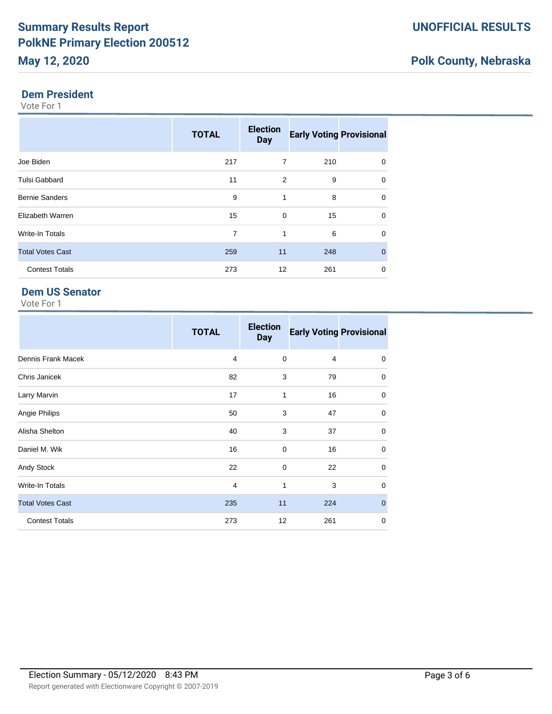# **Polk County, Nebraska**

#### **Dem President**

Vote For 1

|                         | <b>TOTAL</b> | <b>Election</b><br><b>Day</b> | <b>Early Voting Provisional</b> |              |
|-------------------------|--------------|-------------------------------|---------------------------------|--------------|
| Joe Biden               | 217          | 7                             | 210                             | $\mathbf 0$  |
| <b>Tulsi Gabbard</b>    | 11           | 2                             | 9                               | $\mathbf 0$  |
| <b>Bernie Sanders</b>   | 9            | $\mathbf{1}$                  | 8                               | $\mathbf 0$  |
| Elizabeth Warren        | 15           | $\Omega$                      | 15                              | $\mathbf 0$  |
| Write-In Totals         | 7            | 1                             | 6                               | $\mathbf 0$  |
| <b>Total Votes Cast</b> | 259          | 11                            | 248                             | $\mathbf{0}$ |
| <b>Contest Totals</b>   | 273          | 12                            | 261                             | $\mathbf 0$  |

### **Dem US Senator**

|                         | <b>TOTAL</b>   | <b>Election</b><br><b>Day</b> |     | <b>Early Voting Provisional</b> |
|-------------------------|----------------|-------------------------------|-----|---------------------------------|
| Dennis Frank Macek      | $\overline{4}$ | $\mathbf 0$                   | 4   | 0                               |
| Chris Janicek           | 82             | 3                             | 79  | $\mathbf 0$                     |
| Larry Marvin            | 17             | 1                             | 16  | 0                               |
| Angie Philips           | 50             | 3                             | 47  | 0                               |
| Alisha Shelton          | 40             | 3                             | 37  | $\mathbf 0$                     |
| Daniel M. Wik           | 16             | $\mathbf 0$                   | 16  | $\mathbf 0$                     |
| Andy Stock              | 22             | $\mathbf 0$                   | 22  | 0                               |
| Write-In Totals         | 4              | 1                             | 3   | 0                               |
| <b>Total Votes Cast</b> | 235            | 11                            | 224 | $\mathbf{0}$                    |
| <b>Contest Totals</b>   | 273            | 12                            | 261 | 0                               |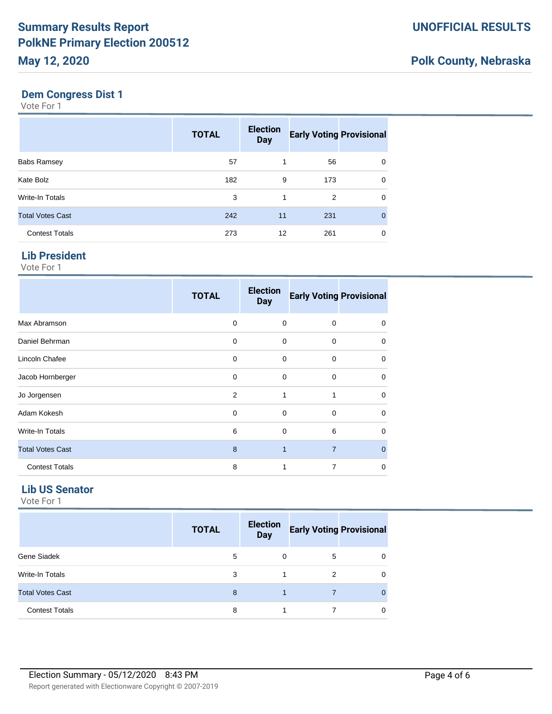#### **Dem Congress Dist 1**

Vote For 1

|                         | <b>TOTAL</b> | <b>Election</b><br><b>Day</b> | <b>Early Voting Provisional</b> |              |
|-------------------------|--------------|-------------------------------|---------------------------------|--------------|
| <b>Babs Ramsey</b>      | 57           | 1                             | 56                              | 0            |
| Kate Bolz               | 182          | 9                             | 173                             | 0            |
| <b>Write-In Totals</b>  | 3            | 1                             | 2                               | 0            |
| <b>Total Votes Cast</b> | 242          | 11                            | 231                             | $\mathbf{0}$ |
| <b>Contest Totals</b>   | 273          | 12                            | 261                             | 0            |

#### **Lib President**

Vote For 1

|                         | <b>TOTAL</b> | <b>Election</b><br><b>Day</b> | <b>Early Voting Provisional</b> |             |
|-------------------------|--------------|-------------------------------|---------------------------------|-------------|
| Max Abramson            | $\Omega$     | $\Omega$                      | $\Omega$                        | 0           |
| Daniel Behrman          | 0            | $\mathbf 0$                   | $\mathbf 0$                     | $\mathbf 0$ |
| Lincoln Chafee          | 0            | 0                             | $\mathbf 0$                     | 0           |
| Jacob Hornberger        | 0            | $\mathbf 0$                   | $\mathbf 0$                     | 0           |
| Jo Jorgensen            | 2            | 1                             | 1                               | 0           |
| Adam Kokesh             | 0            | $\mathbf 0$                   | $\mathbf 0$                     | 0           |
| Write-In Totals         | 6            | $\mathbf 0$                   | 6                               | 0           |
| <b>Total Votes Cast</b> | 8            | 1                             | $\overline{7}$                  | $\Omega$    |
| <b>Contest Totals</b>   | 8            | 1                             | 7                               | 0           |

#### **Lib US Senator**

|                         | <b>TOTAL</b> | <b>Election</b><br><b>Day</b> | <b>Early Voting Provisional</b> |  |
|-------------------------|--------------|-------------------------------|---------------------------------|--|
| Gene Siadek             | 5            | $\Omega$                      | 5                               |  |
| Write-In Totals         | 3            |                               | 2                               |  |
| <b>Total Votes Cast</b> | 8            |                               |                                 |  |
| <b>Contest Totals</b>   | 8            |                               |                                 |  |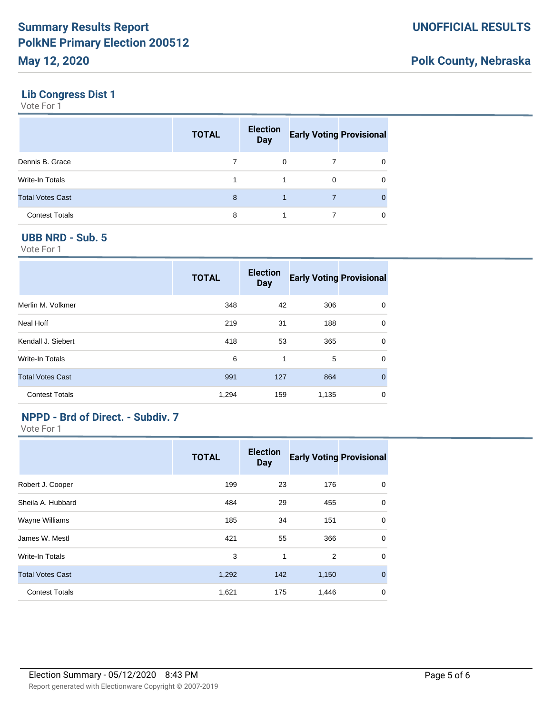### **Lib Congress Dist 1**

Vote For 1

|                         | <b>TOTAL</b> | <b>Election</b><br><b>Day</b> | <b>Early Voting Provisional</b> |   |
|-------------------------|--------------|-------------------------------|---------------------------------|---|
| Dennis B. Grace         |              | 0                             |                                 | 0 |
| <b>Write-In Totals</b>  |              |                               | 0                               | 0 |
| <b>Total Votes Cast</b> | 8            |                               |                                 | 0 |
| <b>Contest Totals</b>   | 8            |                               |                                 | 0 |

### **UBB NRD - Sub. 5**

Vote For 1

|                         | <b>TOTAL</b> | <b>Election</b><br><b>Day</b> | <b>Early Voting Provisional</b> |              |
|-------------------------|--------------|-------------------------------|---------------------------------|--------------|
| Merlin M. Volkmer       | 348          | 42                            | 306                             | 0            |
| Neal Hoff               | 219          | 31                            | 188                             | $\mathbf 0$  |
| Kendall J. Siebert      | 418          | 53                            | 365                             | $\Omega$     |
| Write-In Totals         | 6            | 1                             | 5                               | $\mathbf 0$  |
| <b>Total Votes Cast</b> | 991          | 127                           | 864                             | $\mathbf{0}$ |
| <b>Contest Totals</b>   | 1,294        | 159                           | 1,135                           | 0            |

## **NPPD - Brd of Direct. - Subdiv. 7**

|                         | <b>TOTAL</b> | <b>Election</b><br><b>Day</b> | <b>Early Voting Provisional</b> |              |
|-------------------------|--------------|-------------------------------|---------------------------------|--------------|
| Robert J. Cooper        | 199          | 23                            | 176                             | 0            |
| Sheila A. Hubbard       | 484          | 29                            | 455                             | 0            |
| Wayne Williams          | 185          | 34                            | 151                             | 0            |
| James W. Mestl          | 421          | 55                            | 366                             | $\mathbf 0$  |
| Write-In Totals         | 3            | 1                             | 2                               | $\mathbf 0$  |
| <b>Total Votes Cast</b> | 1,292        | 142                           | 1,150                           | $\mathbf{0}$ |
| <b>Contest Totals</b>   | 1,621        | 175                           | 1,446                           | $\mathbf 0$  |